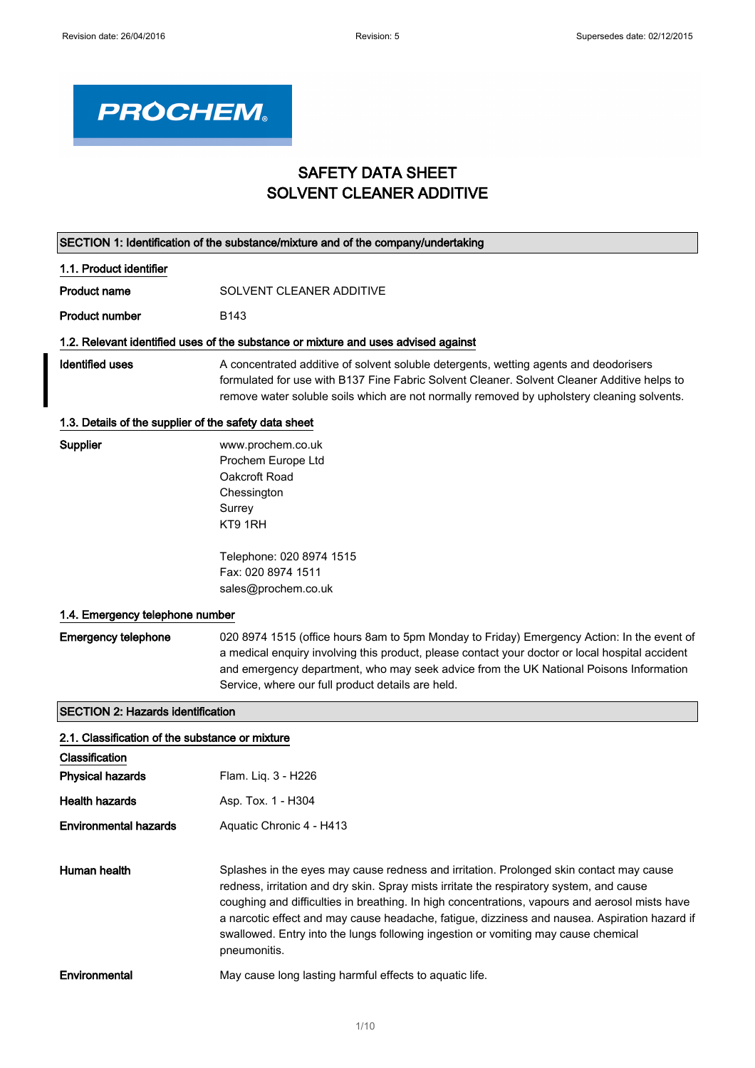٦



# SAFETY DATA SHEET SOLVENT CLEANER ADDITIVE

|                                                       | SECTION 1: Identification of the substance/mixture and of the company/undertaking                                                                                                                                                                                                                                                                                                                                                                                                            |
|-------------------------------------------------------|----------------------------------------------------------------------------------------------------------------------------------------------------------------------------------------------------------------------------------------------------------------------------------------------------------------------------------------------------------------------------------------------------------------------------------------------------------------------------------------------|
| 1.1. Product identifier                               |                                                                                                                                                                                                                                                                                                                                                                                                                                                                                              |
| <b>Product name</b>                                   | SOLVENT CLEANER ADDITIVE                                                                                                                                                                                                                                                                                                                                                                                                                                                                     |
| <b>Product number</b>                                 | B143                                                                                                                                                                                                                                                                                                                                                                                                                                                                                         |
|                                                       | 1.2. Relevant identified uses of the substance or mixture and uses advised against                                                                                                                                                                                                                                                                                                                                                                                                           |
| <b>Identified uses</b>                                | A concentrated additive of solvent soluble detergents, wetting agents and deodorisers<br>formulated for use with B137 Fine Fabric Solvent Cleaner. Solvent Cleaner Additive helps to<br>remove water soluble soils which are not normally removed by upholstery cleaning solvents.                                                                                                                                                                                                           |
| 1.3. Details of the supplier of the safety data sheet |                                                                                                                                                                                                                                                                                                                                                                                                                                                                                              |
| Supplier                                              | www.prochem.co.uk<br>Prochem Europe Ltd<br>Oakcroft Road<br>Chessington<br>Surrey<br>KT9 1RH<br>Telephone: 020 8974 1515<br>Fax: 020 8974 1511                                                                                                                                                                                                                                                                                                                                               |
|                                                       | sales@prochem.co.uk                                                                                                                                                                                                                                                                                                                                                                                                                                                                          |
| 1.4. Emergency telephone number                       |                                                                                                                                                                                                                                                                                                                                                                                                                                                                                              |
| <b>Emergency telephone</b>                            | 020 8974 1515 (office hours 8am to 5pm Monday to Friday) Emergency Action: In the event of<br>a medical enquiry involving this product, please contact your doctor or local hospital accident<br>and emergency department, who may seek advice from the UK National Poisons Information<br>Service, where our full product details are held.                                                                                                                                                 |
| <b>SECTION 2: Hazards identification</b>              |                                                                                                                                                                                                                                                                                                                                                                                                                                                                                              |
| 2.1. Classification of the substance or mixture       |                                                                                                                                                                                                                                                                                                                                                                                                                                                                                              |
| Classification                                        |                                                                                                                                                                                                                                                                                                                                                                                                                                                                                              |
| <b>Physical hazards</b>                               | Flam. Liq. 3 - H226                                                                                                                                                                                                                                                                                                                                                                                                                                                                          |
| <b>Health hazards</b>                                 | Asp. Tox. 1 - H304                                                                                                                                                                                                                                                                                                                                                                                                                                                                           |
| <b>Environmental hazards</b>                          | Aquatic Chronic 4 - H413                                                                                                                                                                                                                                                                                                                                                                                                                                                                     |
| Human health                                          | Splashes in the eyes may cause redness and irritation. Prolonged skin contact may cause<br>redness, irritation and dry skin. Spray mists irritate the respiratory system, and cause<br>coughing and difficulties in breathing. In high concentrations, vapours and aerosol mists have<br>a narcotic effect and may cause headache, fatigue, dizziness and nausea. Aspiration hazard if<br>swallowed. Entry into the lungs following ingestion or vomiting may cause chemical<br>pneumonitis. |
| Environmental                                         | May cause long lasting harmful effects to aquatic life.                                                                                                                                                                                                                                                                                                                                                                                                                                      |
|                                                       |                                                                                                                                                                                                                                                                                                                                                                                                                                                                                              |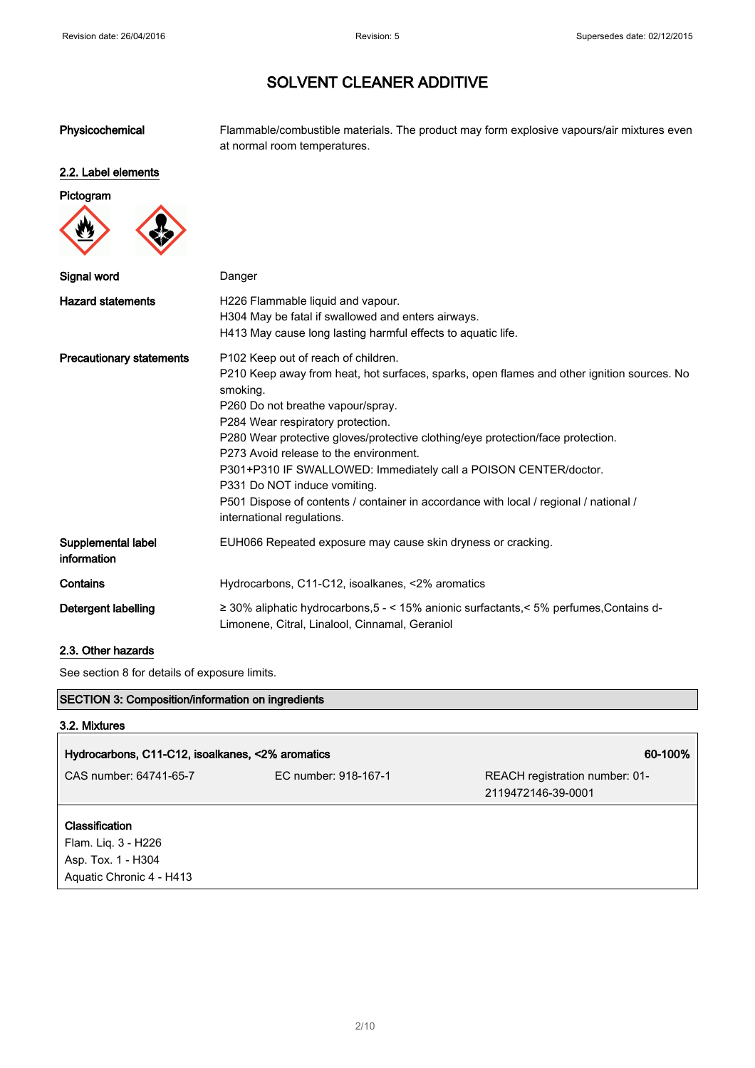Physicochemical Flammable/combustible materials. The product may form explosive vapours/air mixtures even at normal room temperatures.

# 2.2. Label elements



| Signal word                       | Danger                                                                                                                                                                                                                                                                                                                                                                                                                                                                                                                                                                          |
|-----------------------------------|---------------------------------------------------------------------------------------------------------------------------------------------------------------------------------------------------------------------------------------------------------------------------------------------------------------------------------------------------------------------------------------------------------------------------------------------------------------------------------------------------------------------------------------------------------------------------------|
| <b>Hazard statements</b>          | H226 Flammable liquid and vapour.<br>H304 May be fatal if swallowed and enters airways.<br>H413 May cause long lasting harmful effects to aquatic life.                                                                                                                                                                                                                                                                                                                                                                                                                         |
| <b>Precautionary statements</b>   | P102 Keep out of reach of children.<br>P210 Keep away from heat, hot surfaces, sparks, open flames and other ignition sources. No<br>smoking.<br>P260 Do not breathe vapour/spray.<br>P284 Wear respiratory protection.<br>P280 Wear protective gloves/protective clothing/eye protection/face protection.<br>P273 Avoid release to the environment.<br>P301+P310 IF SWALLOWED: Immediately call a POISON CENTER/doctor.<br>P331 Do NOT induce vomiting.<br>P501 Dispose of contents / container in accordance with local / regional / national /<br>international regulations. |
| Supplemental label<br>information | EUH066 Repeated exposure may cause skin dryness or cracking.                                                                                                                                                                                                                                                                                                                                                                                                                                                                                                                    |
| Contains                          | Hydrocarbons, C11-C12, isoalkanes, <2% aromatics                                                                                                                                                                                                                                                                                                                                                                                                                                                                                                                                |
| Detergent labelling               | ≥ 30% aliphatic hydrocarbons, $5 - 15\%$ anionic surfactants, $5\%$ perfumes, Contains d-<br>Limonene, Citral, Linalool, Cinnamal, Geraniol                                                                                                                                                                                                                                                                                                                                                                                                                                     |

### 2.3. Other hazards

See section 8 for details of exposure limits.

### SECTION 3: Composition/information on ingredients

#### 3.2. Mixtures

| Hydrocarbons, C11-C12, isoalkanes, <2% aromatics |                      | 60-100%                                              |
|--------------------------------------------------|----------------------|------------------------------------------------------|
| CAS number: 64741-65-7                           | EC number: 918-167-1 | REACH registration number: 01-<br>2119472146-39-0001 |
| <b>Classification</b><br>Flam. Liq. 3 - H226     |                      |                                                      |
| Asp. Tox. 1 - H304<br>Aquatic Chronic 4 - H413   |                      |                                                      |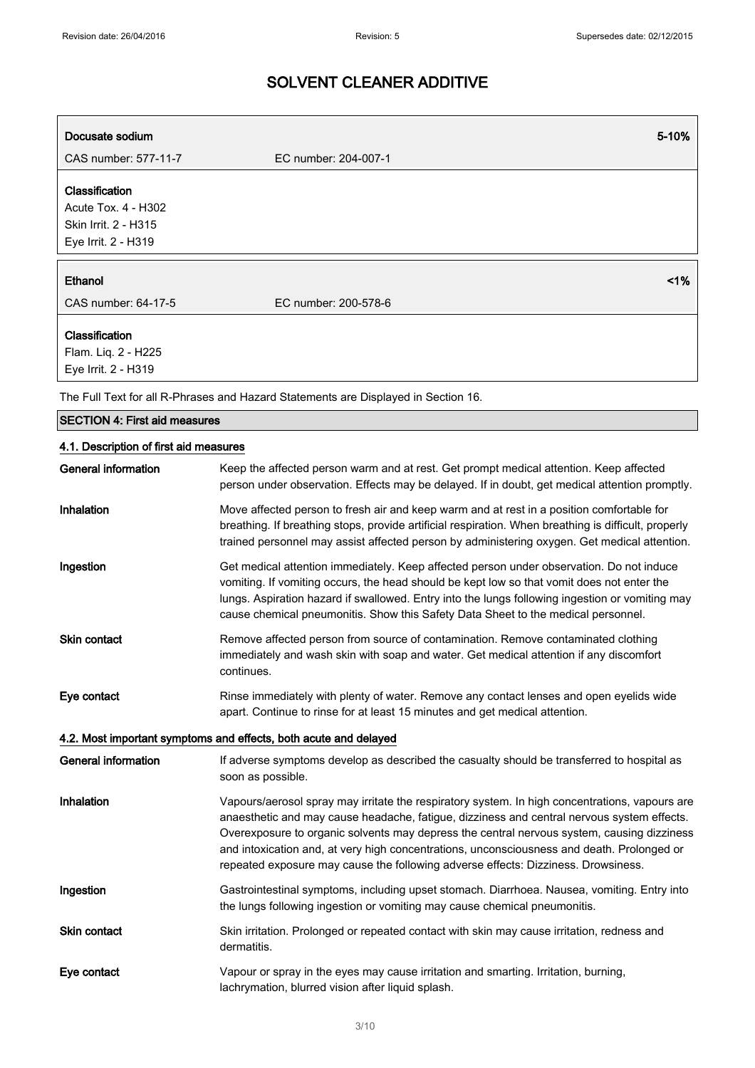| Docusate sodium                                                                      | 5-10%                                                                                                                                                                                                                                                                                                                                                                                                                                                                         |
|--------------------------------------------------------------------------------------|-------------------------------------------------------------------------------------------------------------------------------------------------------------------------------------------------------------------------------------------------------------------------------------------------------------------------------------------------------------------------------------------------------------------------------------------------------------------------------|
| CAS number: 577-11-7                                                                 | EC number: 204-007-1                                                                                                                                                                                                                                                                                                                                                                                                                                                          |
| Classification<br>Acute Tox. 4 - H302<br>Skin Irrit. 2 - H315<br>Eye Irrit. 2 - H319 |                                                                                                                                                                                                                                                                                                                                                                                                                                                                               |
| Ethanol<br>CAS number: 64-17-5                                                       | <1%<br>EC number: 200-578-6                                                                                                                                                                                                                                                                                                                                                                                                                                                   |
| Classification<br>Flam. Liq. 2 - H225<br>Eye Irrit. 2 - H319                         |                                                                                                                                                                                                                                                                                                                                                                                                                                                                               |
|                                                                                      | The Full Text for all R-Phrases and Hazard Statements are Displayed in Section 16.                                                                                                                                                                                                                                                                                                                                                                                            |
| <b>SECTION 4: First aid measures</b>                                                 |                                                                                                                                                                                                                                                                                                                                                                                                                                                                               |
| 4.1. Description of first aid measures                                               |                                                                                                                                                                                                                                                                                                                                                                                                                                                                               |
| General information                                                                  | Keep the affected person warm and at rest. Get prompt medical attention. Keep affected<br>person under observation. Effects may be delayed. If in doubt, get medical attention promptly.                                                                                                                                                                                                                                                                                      |
| Inhalation                                                                           | Move affected person to fresh air and keep warm and at rest in a position comfortable for<br>breathing. If breathing stops, provide artificial respiration. When breathing is difficult, properly<br>trained personnel may assist affected person by administering oxygen. Get medical attention.                                                                                                                                                                             |
| Ingestion                                                                            | Get medical attention immediately. Keep affected person under observation. Do not induce<br>vomiting. If vomiting occurs, the head should be kept low so that vomit does not enter the<br>lungs. Aspiration hazard if swallowed. Entry into the lungs following ingestion or vomiting may<br>cause chemical pneumonitis. Show this Safety Data Sheet to the medical personnel.                                                                                                |
| <b>Skin contact</b>                                                                  | Remove affected person from source of contamination. Remove contaminated clothing<br>immediately and wash skin with soap and water. Get medical attention if any discomfort<br>continues.                                                                                                                                                                                                                                                                                     |
| Eye contact                                                                          | Rinse immediately with plenty of water. Remove any contact lenses and open eyelids wide<br>apart. Continue to rinse for at least 15 minutes and get medical attention.                                                                                                                                                                                                                                                                                                        |
|                                                                                      | 4.2. Most important symptoms and effects, both acute and delayed                                                                                                                                                                                                                                                                                                                                                                                                              |
| <b>General information</b>                                                           | If adverse symptoms develop as described the casualty should be transferred to hospital as<br>soon as possible.                                                                                                                                                                                                                                                                                                                                                               |
| Inhalation                                                                           | Vapours/aerosol spray may irritate the respiratory system. In high concentrations, vapours are<br>anaesthetic and may cause headache, fatigue, dizziness and central nervous system effects.<br>Overexposure to organic solvents may depress the central nervous system, causing dizziness<br>and intoxication and, at very high concentrations, unconsciousness and death. Prolonged or<br>repeated exposure may cause the following adverse effects: Dizziness. Drowsiness. |
| Ingestion                                                                            | Gastrointestinal symptoms, including upset stomach. Diarrhoea. Nausea, vomiting. Entry into<br>the lungs following ingestion or vomiting may cause chemical pneumonitis.                                                                                                                                                                                                                                                                                                      |
| Skin contact                                                                         | Skin irritation. Prolonged or repeated contact with skin may cause irritation, redness and<br>dermatitis.                                                                                                                                                                                                                                                                                                                                                                     |
| Eye contact                                                                          | Vapour or spray in the eyes may cause irritation and smarting. Irritation, burning,<br>lachrymation, blurred vision after liquid splash.                                                                                                                                                                                                                                                                                                                                      |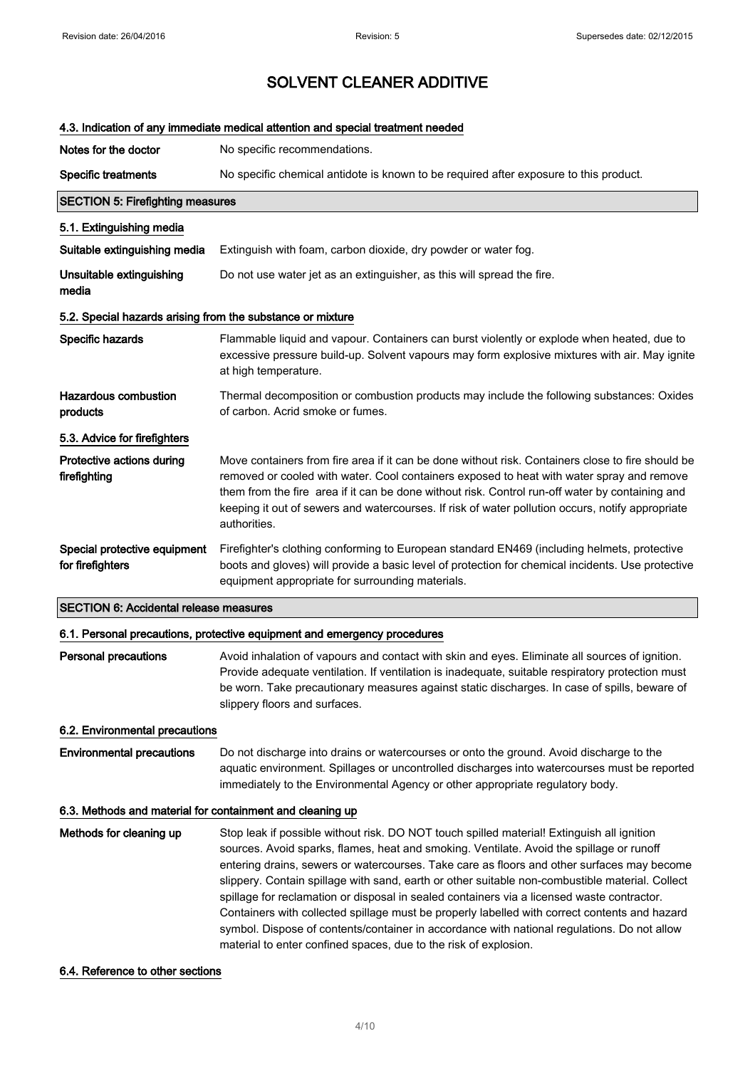|                                                            | 4.3. Indication of any immediate medical attention and special treatment needed                                                                                                                                                                                                                                                                                                                                                                                                                                                                                                                                                                                                       |
|------------------------------------------------------------|---------------------------------------------------------------------------------------------------------------------------------------------------------------------------------------------------------------------------------------------------------------------------------------------------------------------------------------------------------------------------------------------------------------------------------------------------------------------------------------------------------------------------------------------------------------------------------------------------------------------------------------------------------------------------------------|
| Notes for the doctor                                       | No specific recommendations.                                                                                                                                                                                                                                                                                                                                                                                                                                                                                                                                                                                                                                                          |
| <b>Specific treatments</b>                                 | No specific chemical antidote is known to be required after exposure to this product.                                                                                                                                                                                                                                                                                                                                                                                                                                                                                                                                                                                                 |
| <b>SECTION 5: Firefighting measures</b>                    |                                                                                                                                                                                                                                                                                                                                                                                                                                                                                                                                                                                                                                                                                       |
| 5.1. Extinguishing media                                   |                                                                                                                                                                                                                                                                                                                                                                                                                                                                                                                                                                                                                                                                                       |
| Suitable extinguishing media                               | Extinguish with foam, carbon dioxide, dry powder or water fog.                                                                                                                                                                                                                                                                                                                                                                                                                                                                                                                                                                                                                        |
| Unsuitable extinguishing<br>media                          | Do not use water jet as an extinguisher, as this will spread the fire.                                                                                                                                                                                                                                                                                                                                                                                                                                                                                                                                                                                                                |
| 5.2. Special hazards arising from the substance or mixture |                                                                                                                                                                                                                                                                                                                                                                                                                                                                                                                                                                                                                                                                                       |
| Specific hazards                                           | Flammable liquid and vapour. Containers can burst violently or explode when heated, due to<br>excessive pressure build-up. Solvent vapours may form explosive mixtures with air. May ignite<br>at high temperature.                                                                                                                                                                                                                                                                                                                                                                                                                                                                   |
| <b>Hazardous combustion</b><br>products                    | Thermal decomposition or combustion products may include the following substances: Oxides<br>of carbon. Acrid smoke or fumes.                                                                                                                                                                                                                                                                                                                                                                                                                                                                                                                                                         |
| 5.3. Advice for firefighters                               |                                                                                                                                                                                                                                                                                                                                                                                                                                                                                                                                                                                                                                                                                       |
| Protective actions during<br>firefighting                  | Move containers from fire area if it can be done without risk. Containers close to fire should be<br>removed or cooled with water. Cool containers exposed to heat with water spray and remove<br>them from the fire area if it can be done without risk. Control run-off water by containing and<br>keeping it out of sewers and watercourses. If risk of water pollution occurs, notify appropriate<br>authorities.                                                                                                                                                                                                                                                                 |
| Special protective equipment<br>for firefighters           | Firefighter's clothing conforming to European standard EN469 (including helmets, protective<br>boots and gloves) will provide a basic level of protection for chemical incidents. Use protective<br>equipment appropriate for surrounding materials.                                                                                                                                                                                                                                                                                                                                                                                                                                  |
| <b>SECTION 6: Accidental release measures</b>              |                                                                                                                                                                                                                                                                                                                                                                                                                                                                                                                                                                                                                                                                                       |
|                                                            | 6.1. Personal precautions, protective equipment and emergency procedures                                                                                                                                                                                                                                                                                                                                                                                                                                                                                                                                                                                                              |
| <b>Personal precautions</b>                                | Avoid inhalation of vapours and contact with skin and eyes. Eliminate all sources of ignition.<br>Provide adequate ventilation. If ventilation is inadequate, suitable respiratory protection must<br>be worn. Take precautionary measures against static discharges. In case of spills, beware of<br>slippery floors and surfaces.                                                                                                                                                                                                                                                                                                                                                   |
| 6.2. Environmental precautions                             |                                                                                                                                                                                                                                                                                                                                                                                                                                                                                                                                                                                                                                                                                       |
| <b>Environmental precautions</b>                           | Do not discharge into drains or watercourses or onto the ground. Avoid discharge to the<br>aquatic environment. Spillages or uncontrolled discharges into watercourses must be reported<br>immediately to the Environmental Agency or other appropriate regulatory body.                                                                                                                                                                                                                                                                                                                                                                                                              |
| 6.3. Methods and material for containment and cleaning up  |                                                                                                                                                                                                                                                                                                                                                                                                                                                                                                                                                                                                                                                                                       |
| Methods for cleaning up                                    | Stop leak if possible without risk. DO NOT touch spilled material! Extinguish all ignition<br>sources. Avoid sparks, flames, heat and smoking. Ventilate. Avoid the spillage or runoff<br>entering drains, sewers or watercourses. Take care as floors and other surfaces may become<br>slippery. Contain spillage with sand, earth or other suitable non-combustible material. Collect<br>spillage for reclamation or disposal in sealed containers via a licensed waste contractor.<br>Containers with collected spillage must be properly labelled with correct contents and hazard<br>symbol. Dispose of contents/container in accordance with national regulations. Do not allow |

## 6.4. Reference to other sections

material to enter confined spaces, due to the risk of explosion.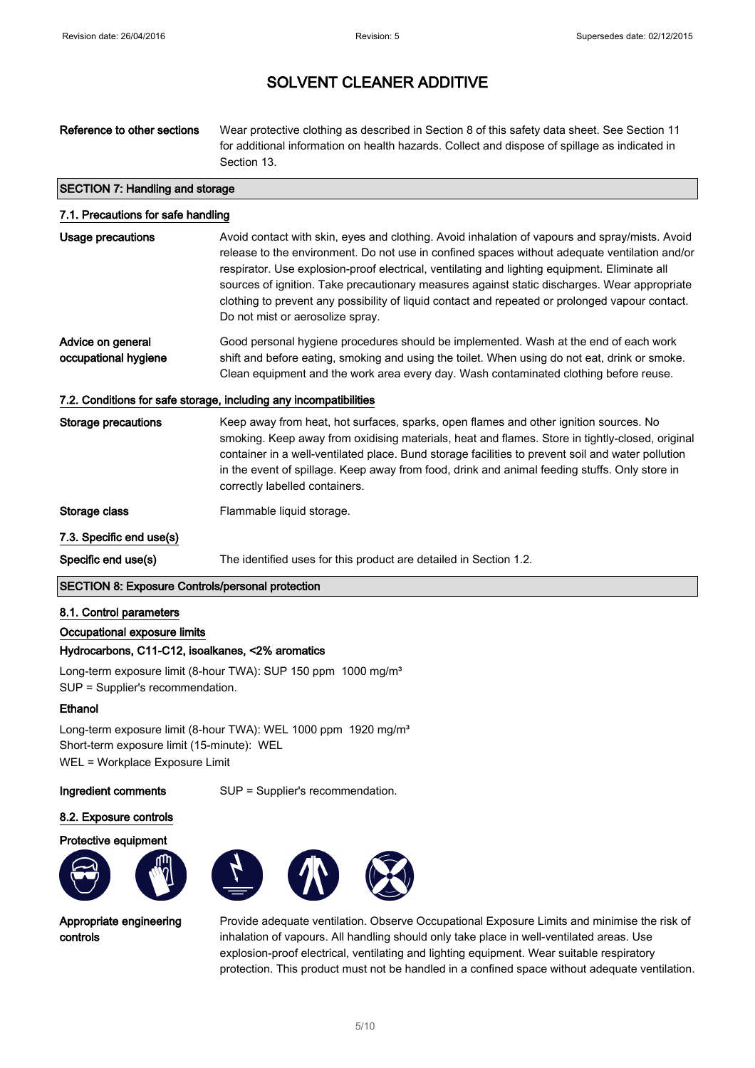# Reference to other sections Wear protective clothing as described in Section 8 of this safety data sheet. See Section 11 for additional information on health hazards. Collect and dispose of spillage as indicated in Section 13. SECTION 7: Handling and storage 7.1. Precautions for safe handling Usage precautions Avoid contact with skin, eyes and clothing. Avoid inhalation of vapours and spray/mists. Avoid

| USQUE DI EGGUIUIS | AVOID CONTACT WILLI SKIH, EVES AND CIONINIQ. AVOID INITARION OF VADOULS AND SPIRY/INISTS. AVOID |
|-------------------|-------------------------------------------------------------------------------------------------|
|                   | release to the environment. Do not use in confined spaces without adequate ventilation and/or   |
|                   | respirator. Use explosion-proof electrical, ventilating and lighting equipment. Eliminate all   |
|                   | sources of ignition. Take precautionary measures against static discharges. Wear appropriate    |
|                   | clothing to prevent any possibility of liquid contact and repeated or prolonged vapour contact. |
|                   | Do not mist or aerosolize spray.                                                                |
|                   |                                                                                                 |

#### Advice on general occupational hygiene Good personal hygiene procedures should be implemented. Wash at the end of each work shift and before eating, smoking and using the toilet. When using do not eat, drink or smoke. Clean equipment and the work area every day. Wash contaminated clothing before reuse.

### 7.2. Conditions for safe storage, including any incompatibilities

Storage precautions Keep away from heat, hot surfaces, sparks, open flames and other ignition sources. No smoking. Keep away from oxidising materials, heat and flames. Store in tightly-closed, original container in a well-ventilated place. Bund storage facilities to prevent soil and water pollution in the event of spillage. Keep away from food, drink and animal feeding stuffs. Only store in correctly labelled containers.

Storage class Flammable liquid storage.

#### 7.3. Specific end use(s)

Specific end use(s) The identified uses for this product are detailed in Section 1.2.

### SECTION 8: Exposure Controls/personal protection

#### 8.1. Control parameters

Occupational exposure limits

### Hydrocarbons, C11-C12, isoalkanes, <2% aromatics

Long-term exposure limit (8-hour TWA): SUP 150 ppm 1000 mg/m<sup>3</sup> SUP = Supplier's recommendation.

#### **Ethanol**

Long-term exposure limit (8-hour TWA): WEL 1000 ppm 1920 mg/m<sup>3</sup> Short-term exposure limit (15-minute): WEL WEL = Workplace Exposure Limit

Ingredient comments SUP = Supplier's recommendation.

#### 8.2. Exposure controls





Appropriate engineering controls



Provide adequate ventilation. Observe Occupational Exposure Limits and minimise the risk of inhalation of vapours. All handling should only take place in well-ventilated areas. Use explosion-proof electrical, ventilating and lighting equipment. Wear suitable respiratory protection. This product must not be handled in a confined space without adequate ventilation.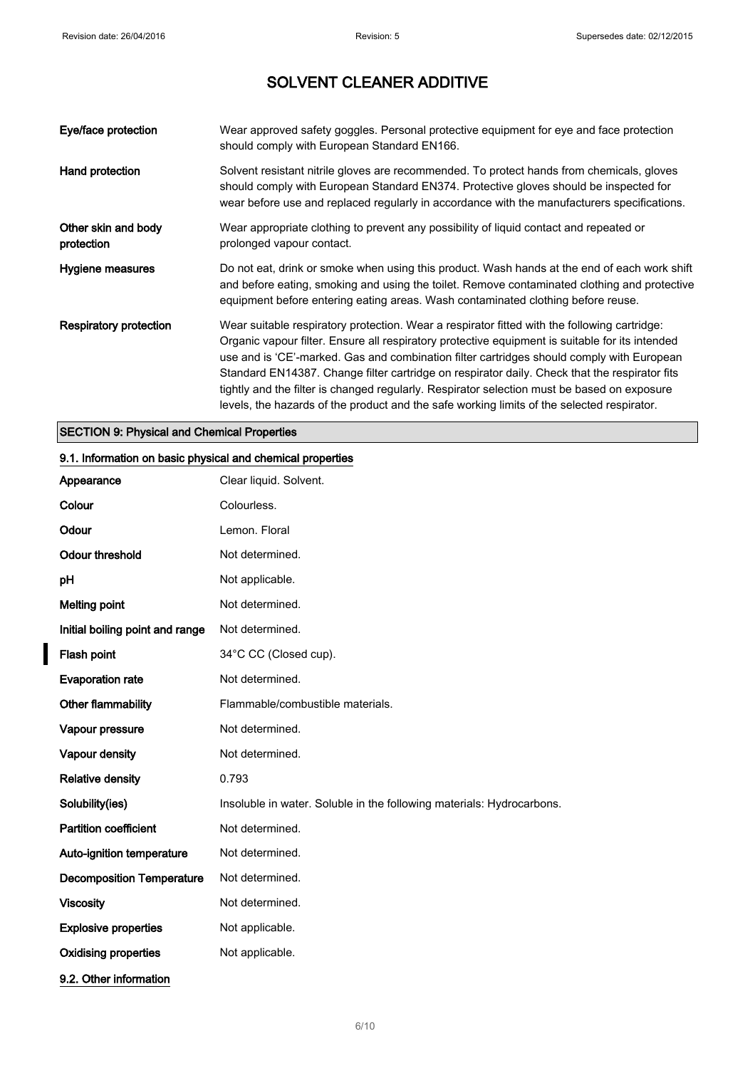| Eye/face protection               | Wear approved safety goggles. Personal protective equipment for eye and face protection<br>should comply with European Standard EN166.                                                                                                                                                                                                                                                                                                                                                                                                                                                     |
|-----------------------------------|--------------------------------------------------------------------------------------------------------------------------------------------------------------------------------------------------------------------------------------------------------------------------------------------------------------------------------------------------------------------------------------------------------------------------------------------------------------------------------------------------------------------------------------------------------------------------------------------|
| Hand protection                   | Solvent resistant nitrile gloves are recommended. To protect hands from chemicals, gloves<br>should comply with European Standard EN374. Protective gloves should be inspected for<br>wear before use and replaced regularly in accordance with the manufacturers specifications.                                                                                                                                                                                                                                                                                                          |
| Other skin and body<br>protection | Wear appropriate clothing to prevent any possibility of liquid contact and repeated or<br>prolonged vapour contact.                                                                                                                                                                                                                                                                                                                                                                                                                                                                        |
| Hygiene measures                  | Do not eat, drink or smoke when using this product. Wash hands at the end of each work shift<br>and before eating, smoking and using the toilet. Remove contaminated clothing and protective<br>equipment before entering eating areas. Wash contaminated clothing before reuse.                                                                                                                                                                                                                                                                                                           |
| Respiratory protection            | Wear suitable respiratory protection. Wear a respirator fitted with the following cartridge:<br>Organic vapour filter. Ensure all respiratory protective equipment is suitable for its intended<br>use and is 'CE'-marked. Gas and combination filter cartridges should comply with European<br>Standard EN14387. Change filter cartridge on respirator daily. Check that the respirator fits<br>tightly and the filter is changed regularly. Respirator selection must be based on exposure<br>levels, the hazards of the product and the safe working limits of the selected respirator. |

## SECTION 9: Physical and Chemical Properties

## 9.1. Information on basic physical and chemical properties

| Appearance                       | Clear liquid. Solvent.                                                |
|----------------------------------|-----------------------------------------------------------------------|
| Colour                           | Colourless.                                                           |
| Odour                            | Lemon. Floral                                                         |
| <b>Odour threshold</b>           | Not determined.                                                       |
| pH                               | Not applicable.                                                       |
| <b>Melting point</b>             | Not determined.                                                       |
| Initial boiling point and range  | Not determined.                                                       |
| Flash point                      | 34°C CC (Closed cup).                                                 |
| <b>Evaporation rate</b>          | Not determined.                                                       |
| Other flammability               | Flammable/combustible materials.                                      |
| Vapour pressure                  | Not determined.                                                       |
| Vapour density                   | Not determined.                                                       |
| <b>Relative density</b>          | 0.793                                                                 |
| Solubility(ies)                  | Insoluble in water. Soluble in the following materials: Hydrocarbons. |
| <b>Partition coefficient</b>     | Not determined.                                                       |
| Auto-ignition temperature        | Not determined.                                                       |
| <b>Decomposition Temperature</b> | Not determined.                                                       |
| <b>Viscosity</b>                 | Not determined.                                                       |
| <b>Explosive properties</b>      | Not applicable.                                                       |
| <b>Oxidising properties</b>      | Not applicable.                                                       |
| 9.2. Other information           |                                                                       |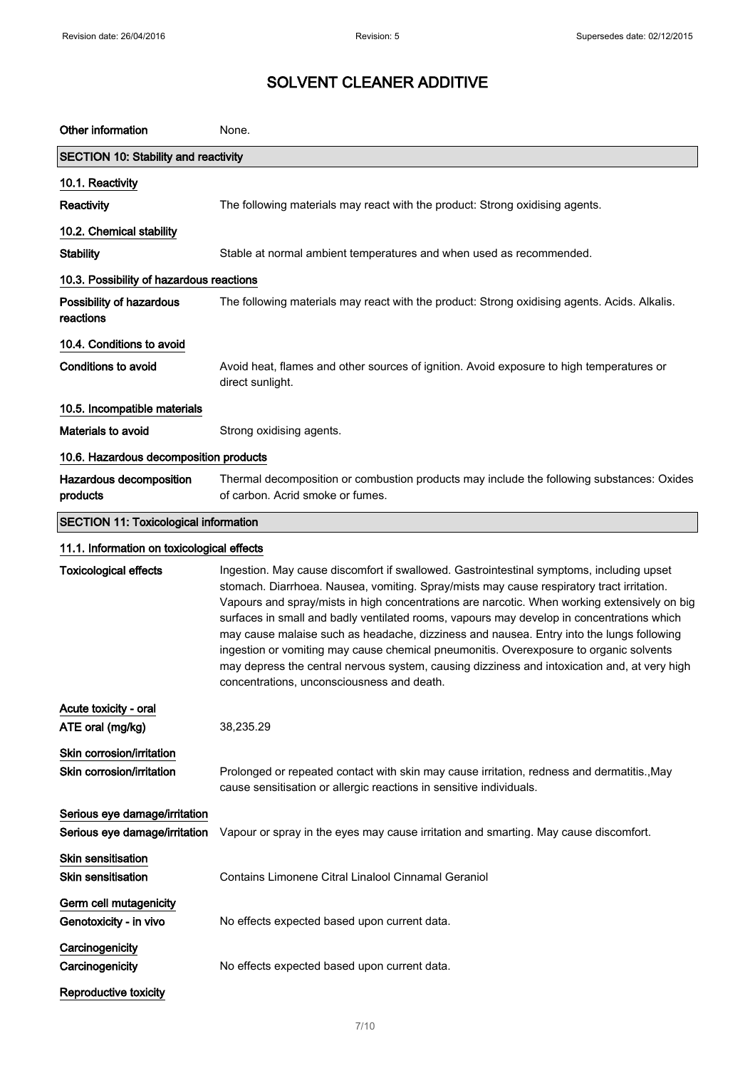| Other information                                      | None.                                                                                                                                                                                                                                                                                                                                                                                                                                                                                                                                                                                                                                                                                                                  |
|--------------------------------------------------------|------------------------------------------------------------------------------------------------------------------------------------------------------------------------------------------------------------------------------------------------------------------------------------------------------------------------------------------------------------------------------------------------------------------------------------------------------------------------------------------------------------------------------------------------------------------------------------------------------------------------------------------------------------------------------------------------------------------------|
| <b>SECTION 10: Stability and reactivity</b>            |                                                                                                                                                                                                                                                                                                                                                                                                                                                                                                                                                                                                                                                                                                                        |
| 10.1. Reactivity                                       |                                                                                                                                                                                                                                                                                                                                                                                                                                                                                                                                                                                                                                                                                                                        |
| Reactivity                                             | The following materials may react with the product: Strong oxidising agents.                                                                                                                                                                                                                                                                                                                                                                                                                                                                                                                                                                                                                                           |
| 10.2. Chemical stability                               |                                                                                                                                                                                                                                                                                                                                                                                                                                                                                                                                                                                                                                                                                                                        |
| <b>Stability</b>                                       | Stable at normal ambient temperatures and when used as recommended.                                                                                                                                                                                                                                                                                                                                                                                                                                                                                                                                                                                                                                                    |
| 10.3. Possibility of hazardous reactions               |                                                                                                                                                                                                                                                                                                                                                                                                                                                                                                                                                                                                                                                                                                                        |
| Possibility of hazardous<br>reactions                  | The following materials may react with the product: Strong oxidising agents. Acids. Alkalis.                                                                                                                                                                                                                                                                                                                                                                                                                                                                                                                                                                                                                           |
| 10.4. Conditions to avoid                              |                                                                                                                                                                                                                                                                                                                                                                                                                                                                                                                                                                                                                                                                                                                        |
| <b>Conditions to avoid</b>                             | Avoid heat, flames and other sources of ignition. Avoid exposure to high temperatures or<br>direct sunlight.                                                                                                                                                                                                                                                                                                                                                                                                                                                                                                                                                                                                           |
| 10.5. Incompatible materials                           |                                                                                                                                                                                                                                                                                                                                                                                                                                                                                                                                                                                                                                                                                                                        |
| Materials to avoid                                     | Strong oxidising agents.                                                                                                                                                                                                                                                                                                                                                                                                                                                                                                                                                                                                                                                                                               |
| 10.6. Hazardous decomposition products                 |                                                                                                                                                                                                                                                                                                                                                                                                                                                                                                                                                                                                                                                                                                                        |
| Hazardous decomposition<br>products                    | Thermal decomposition or combustion products may include the following substances: Oxides<br>of carbon. Acrid smoke or fumes.                                                                                                                                                                                                                                                                                                                                                                                                                                                                                                                                                                                          |
| <b>SECTION 11: Toxicological information</b>           |                                                                                                                                                                                                                                                                                                                                                                                                                                                                                                                                                                                                                                                                                                                        |
| 11.1. Information on toxicological effects             |                                                                                                                                                                                                                                                                                                                                                                                                                                                                                                                                                                                                                                                                                                                        |
| <b>Toxicological effects</b>                           | Ingestion. May cause discomfort if swallowed. Gastrointestinal symptoms, including upset<br>stomach. Diarrhoea. Nausea, vomiting. Spray/mists may cause respiratory tract irritation.<br>Vapours and spray/mists in high concentrations are narcotic. When working extensively on big<br>surfaces in small and badly ventilated rooms, vapours may develop in concentrations which<br>may cause malaise such as headache, dizziness and nausea. Entry into the lungs following<br>ingestion or vomiting may cause chemical pneumonitis. Overexposure to organic solvents<br>may depress the central nervous system, causing dizziness and intoxication and, at very high<br>concentrations, unconsciousness and death. |
| Acute toxicity - oral                                  |                                                                                                                                                                                                                                                                                                                                                                                                                                                                                                                                                                                                                                                                                                                        |
| ATE oral (mg/kg)                                       | 38,235.29                                                                                                                                                                                                                                                                                                                                                                                                                                                                                                                                                                                                                                                                                                              |
| Skin corrosion/irritation<br>Skin corrosion/irritation | Prolonged or repeated contact with skin may cause irritation, redness and dermatitis., May<br>cause sensitisation or allergic reactions in sensitive individuals.                                                                                                                                                                                                                                                                                                                                                                                                                                                                                                                                                      |
| Serious eye damage/irritation                          |                                                                                                                                                                                                                                                                                                                                                                                                                                                                                                                                                                                                                                                                                                                        |
| Serious eye damage/irritation                          | Vapour or spray in the eyes may cause irritation and smarting. May cause discomfort.                                                                                                                                                                                                                                                                                                                                                                                                                                                                                                                                                                                                                                   |
| <b>Skin sensitisation</b><br><b>Skin sensitisation</b> | Contains Limonene Citral Linalool Cinnamal Geraniol                                                                                                                                                                                                                                                                                                                                                                                                                                                                                                                                                                                                                                                                    |
| Germ cell mutagenicity<br>Genotoxicity - in vivo       | No effects expected based upon current data.                                                                                                                                                                                                                                                                                                                                                                                                                                                                                                                                                                                                                                                                           |
| Carcinogenicity<br>Carcinogenicity                     | No effects expected based upon current data.                                                                                                                                                                                                                                                                                                                                                                                                                                                                                                                                                                                                                                                                           |
| Reproductive toxicity                                  |                                                                                                                                                                                                                                                                                                                                                                                                                                                                                                                                                                                                                                                                                                                        |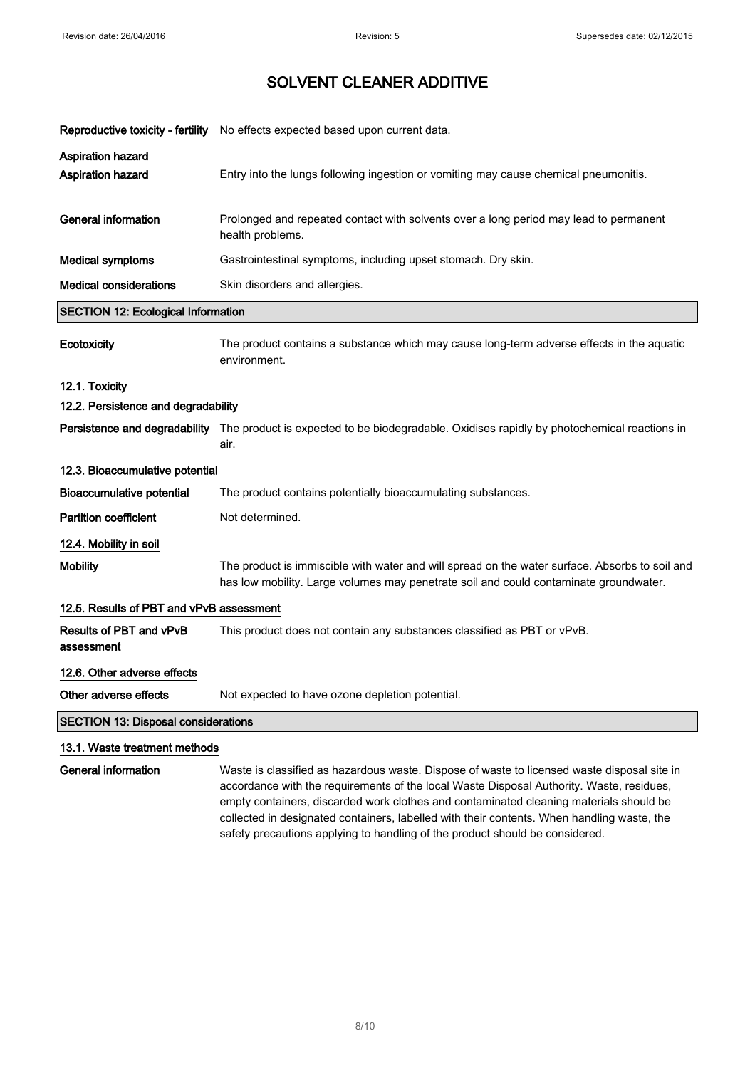| Reproductive toxicity - fertility             | No effects expected based upon current data.                                                                                                                                            |
|-----------------------------------------------|-----------------------------------------------------------------------------------------------------------------------------------------------------------------------------------------|
| <b>Aspiration hazard</b><br>Aspiration hazard | Entry into the lungs following ingestion or vomiting may cause chemical pneumonitis.                                                                                                    |
| <b>General information</b>                    | Prolonged and repeated contact with solvents over a long period may lead to permanent<br>health problems.                                                                               |
| <b>Medical symptoms</b>                       | Gastrointestinal symptoms, including upset stomach. Dry skin.                                                                                                                           |
| <b>Medical considerations</b>                 | Skin disorders and allergies.                                                                                                                                                           |
| <b>SECTION 12: Ecological Information</b>     |                                                                                                                                                                                         |
| Ecotoxicity                                   | The product contains a substance which may cause long-term adverse effects in the aquatic<br>environment.                                                                               |
| 12.1. Toxicity                                |                                                                                                                                                                                         |
| 12.2. Persistence and degradability           |                                                                                                                                                                                         |
| Persistence and degradability                 | The product is expected to be biodegradable. Oxidises rapidly by photochemical reactions in<br>air.                                                                                     |
| 12.3. Bioaccumulative potential               |                                                                                                                                                                                         |
| <b>Bioaccumulative potential</b>              | The product contains potentially bioaccumulating substances.                                                                                                                            |
| <b>Partition coefficient</b>                  | Not determined.                                                                                                                                                                         |
| 12.4. Mobility in soil                        |                                                                                                                                                                                         |
| <b>Mobility</b>                               | The product is immiscible with water and will spread on the water surface. Absorbs to soil and<br>has low mobility. Large volumes may penetrate soil and could contaminate groundwater. |
| 12.5. Results of PBT and vPvB assessment      |                                                                                                                                                                                         |
| Results of PBT and vPvB<br>assessment         | This product does not contain any substances classified as PBT or vPvB.                                                                                                                 |
| 12.6. Other adverse effects                   |                                                                                                                                                                                         |
| Other adverse effects                         | Not expected to have ozone depletion potential.                                                                                                                                         |
| <b>SECTION 13: Disposal considerations</b>    |                                                                                                                                                                                         |
| 13.1. Waste treatment methods                 |                                                                                                                                                                                         |
| <b>General information</b>                    | Waste is classified as hazardous waste. Dispose of waste to licensed waste disposal site in<br>accordance with the requirements of the local Waste Disposal Authority. Waste, residues. |

accordance with the requirements of the local Waste Disposal Authority. Waste, residues, empty containers, discarded work clothes and contaminated cleaning materials should be collected in designated containers, labelled with their contents. When handling waste, the safety precautions applying to handling of the product should be considered.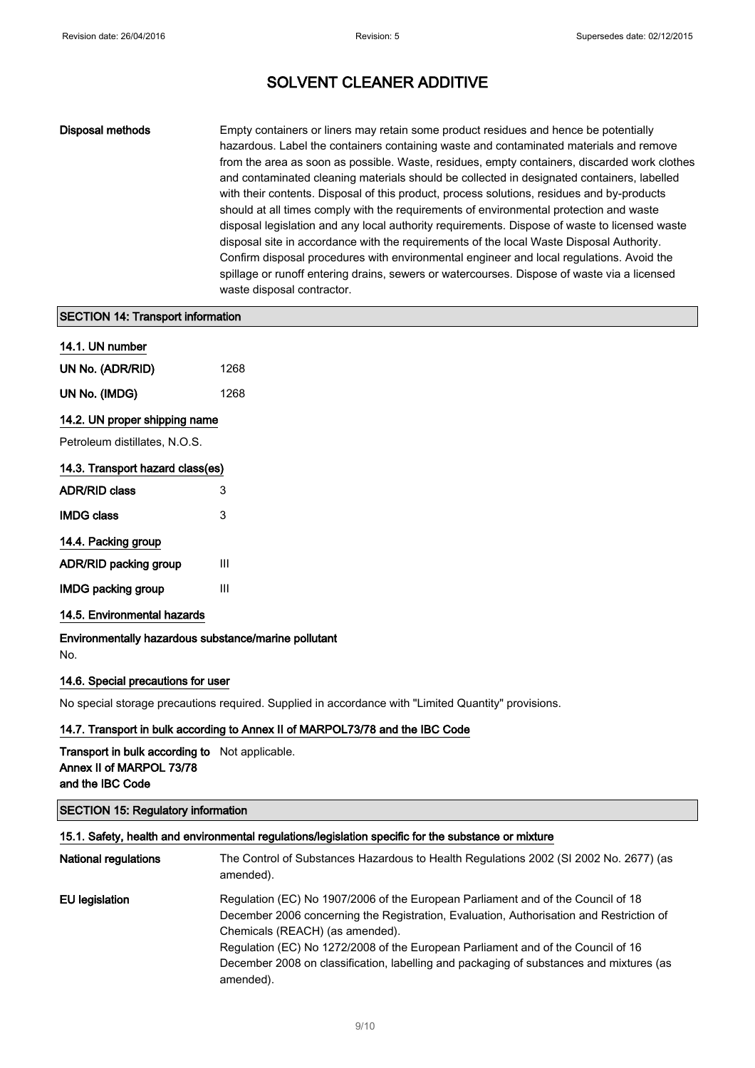Disposal methods Empty containers or liners may retain some product residues and hence be potentially hazardous. Label the containers containing waste and contaminated materials and remove from the area as soon as possible. Waste, residues, empty containers, discarded work clothes and contaminated cleaning materials should be collected in designated containers, labelled with their contents. Disposal of this product, process solutions, residues and by-products should at all times comply with the requirements of environmental protection and waste disposal legislation and any local authority requirements. Dispose of waste to licensed waste disposal site in accordance with the requirements of the local Waste Disposal Authority. Confirm disposal procedures with environmental engineer and local regulations. Avoid the spillage or runoff entering drains, sewers or watercourses. Dispose of waste via a licensed waste disposal contractor.

### SECTION 14: Transport information

| 14.1. UN number  |      |
|------------------|------|
| UN No. (ADR/RID) | 1268 |
| UN No. (IMDG)    | 1268 |

### 14.2. UN proper shipping name

Petroleum distillates, N.O.S.

| 14.3. Transport hazard class(es) |  |
|----------------------------------|--|
|----------------------------------|--|

| <b>ADR/RID class</b>      | 3 |
|---------------------------|---|
| <b>IMDG class</b>         | 3 |
| 14.4. Packing group       |   |
| ADR/RID packing group     | Ш |
| <b>IMDG packing group</b> | Ш |
|                           |   |

#### 14.5. Environmental hazards

Environmentally hazardous substance/marine pollutant No.

#### 14.6. Special precautions for user

No special storage precautions required. Supplied in accordance with "Limited Quantity" provisions.

### 14.7. Transport in bulk according to Annex II of MARPOL73/78 and the IBC Code

Transport in bulk according to Not applicable. Annex II of MARPOL 73/78 and the IBC Code

### SECTION 15: Regulatory information

### 15.1. Safety, health and environmental regulations/legislation specific for the substance or mixture

| <b>National regulations</b> | The Control of Substances Hazardous to Health Regulations 2002 (SI 2002 No. 2677) (as<br>amended).                                                                                                                                                                                                                                                                                                         |
|-----------------------------|------------------------------------------------------------------------------------------------------------------------------------------------------------------------------------------------------------------------------------------------------------------------------------------------------------------------------------------------------------------------------------------------------------|
| EU legislation              | Regulation (EC) No 1907/2006 of the European Parliament and of the Council of 18<br>December 2006 concerning the Registration, Evaluation, Authorisation and Restriction of<br>Chemicals (REACH) (as amended).<br>Regulation (EC) No 1272/2008 of the European Parliament and of the Council of 16<br>December 2008 on classification, labelling and packaging of substances and mixtures (as<br>amended). |